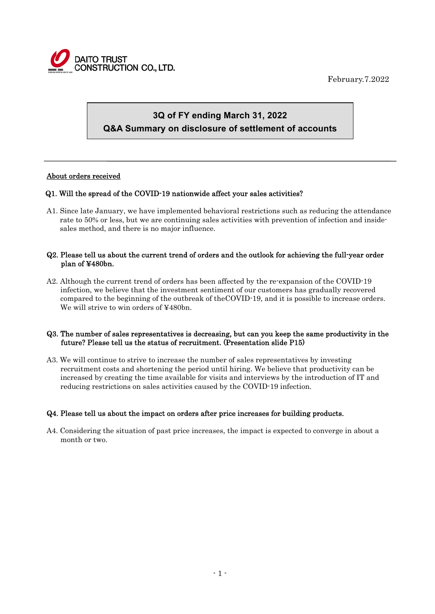

February.7.2022

# **3Q of FY ending March 31, 2022 Q&A Summary on disclosure of settlement of accounts**

# About orders received

 $\overline{a}$ 

# Q1. Will the spread of the COVID-19 nationwide affect your sales activities?

A1. Since late January, we have implemented behavioral restrictions such as reducing the attendance rate to 50% or less, but we are continuing sales activities with prevention of infection and insidesales method, and there is no major influence.

# Q2. Please tell us about the current trend of orders and the outlook for achieving the full-year order plan of ¥480bn.

A2. Although the current trend of orders has been affected by the re-expansion of the COVID-19 infection, we believe that the investment sentiment of our customers has gradually recovered compared to the beginning of the outbreak of theCOVID-19, and it is possible to increase orders. We will strive to win orders of ¥480bn.

#### Q3. The number of sales representatives is decreasing, but can you keep the same productivity in the future? Please tell us the status of recruitment. (Presentation slide P15)

A3. We will continue to strive to increase the number of sales representatives by investing recruitment costs and shortening the period until hiring. We believe that productivity can be increased by creating the time available for visits and interviews by the introduction of IT and reducing restrictions on sales activities caused by the COVID-19 infection.

# Q4. Please tell us about the impact on orders after price increases for building products.

A4. Considering the situation of past price increases, the impact is expected to converge in about a month or two.